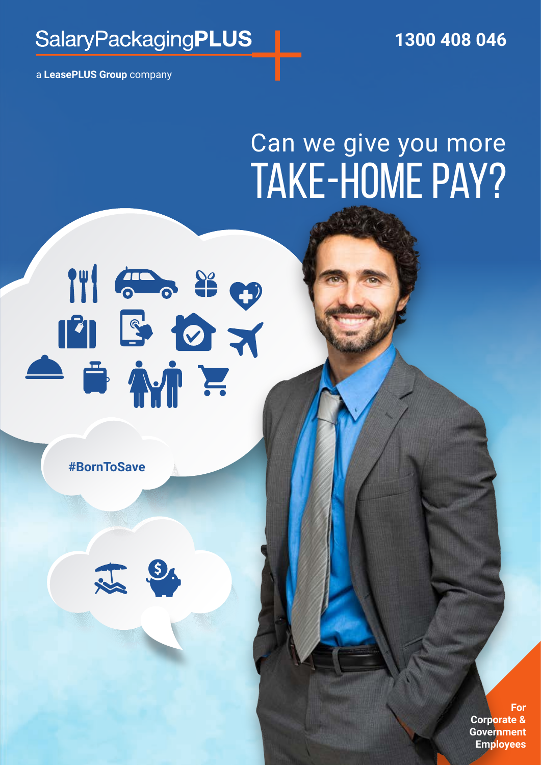## **SalaryPackagingPLUS**

 **1300 408 046** 

a **LeasePLUS Group** company

# Can we give you more TAKE-HOME PAY?

# 

**#BornToSave** 



**For Corporate & Government Employees**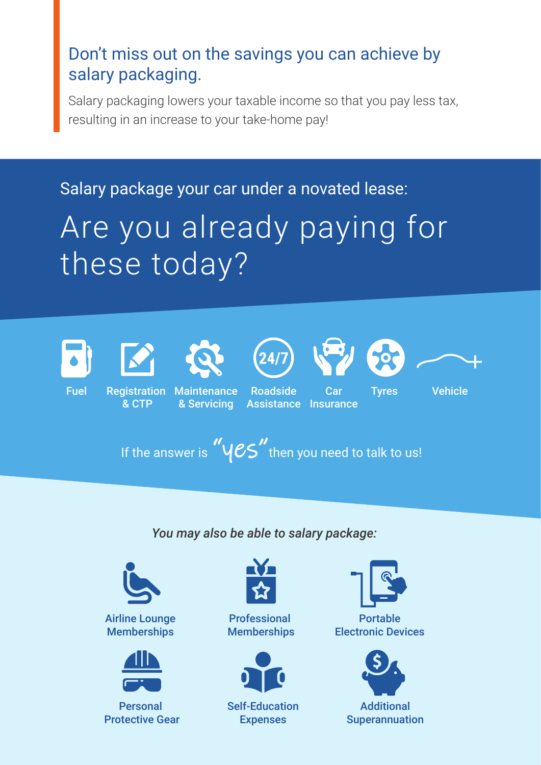### Don't miss out on the savings you can achieve by salary packaging.

Salary packaging lowers your taxable income so that you pay less tax, resulting in an increase to your take-home pay!

Salary package your car under a novated lease:

# Are you already paying for these today?













& CTP

Fuel Registration Maintenance Roadside Car Tyres & Servicing

Roadside

Car Assistance Insurance **Vehicle** 

If the answer is  $"y\mathcal{CS}"$  then you need to talk to us!

*You may also be able to salary package:*



Airline Lounge **Memberships** 



Personal Protective Gear



Professional **Memberships** 



Self-Education Expenses



Electronic Devices

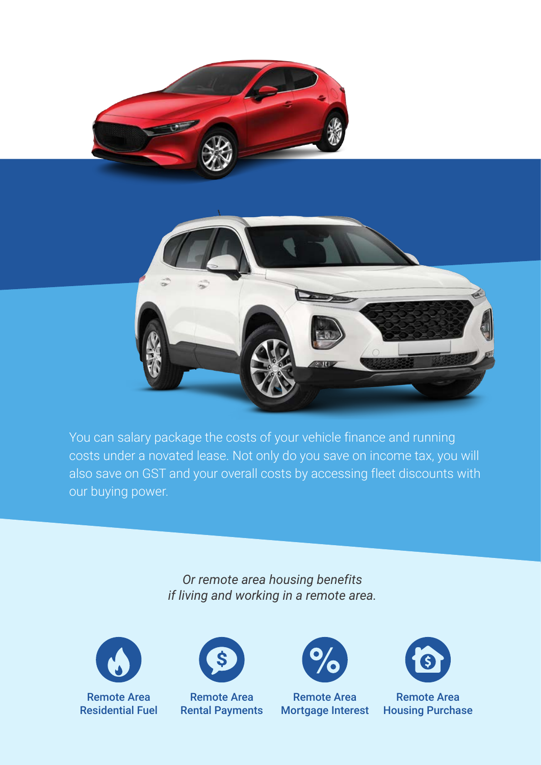

You can salary package the costs of your vehicle finance and running costs under a novated lease. Not only do you save on income tax, you will also save on GST and your overall costs by accessing fleet discounts with our buying power.

> *Or remote area housing benefits if living and working in a remote area.*



Remote Area Residential Fuel



Remote Area Rental Payments



Remote Area Mortgage Interest



Remote Area Housing Purchase